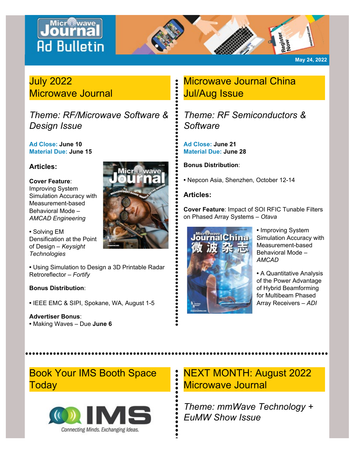# Journa **Ad Bulletin**



**May 24, 2022**

### July 2022 Microwave Journal

*Theme: RF/Microwave Software & Design Issue*

**Ad Close: June 10 Material Due: June 15**

### **Articles:**

#### **Cover Feature**:

Improving System Simulation Accuracy with Measurement-based Behavioral Mode – *AMCAD Engineering*

**•** Solving EM Densification at the Point of Design – *Keysight Technologies*

**•** Using Simulation to Design a 3D Printable Radar Retroreflector – *Fortify*

#### **Bonus Distribution**:

**•** IEEE EMC & SIPI, Spokane, WA, August 1-5

### **Advertiser Bonus**:

**•** Making Waves – Due **June 6**

## Microwave Journal China Jul/Aug Issue

*Theme: RF Semiconductors & Software*

**Ad Close: June 21 Material Due: June 28**

**Bonus Distribution**:

**•** Nepcon Asia, Shenzhen, October 12-14

### **Articles:**

**Cover Feature**: Impact of SOI RFIC Tunable Filters on Phased Array Systems – *Otava*



**•** Improving System Simulation Accuracy with Measurement-based Behavioral Mode – *AMCAD*

**•** A Quantitative Analysis of the Power Advantage of Hybrid Beamforming for Multibeam Phased Array Receivers – *ADI*

Book Your IMS Booth Space **Today** 



### NEXT MONTH: August 2022 Microwave Journal

*Theme: mmWave Technology + EuMW Show Issue*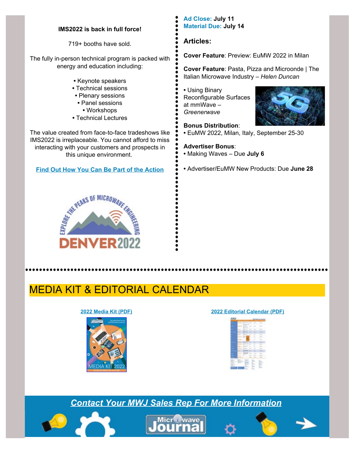#### **IMS2022 is back in full force!**

719+ booths have sold.

The fully in-person technical program is packed with energy and education including:

- **•** Keynote speakers
- **•** Technical sessions
- **•** Plenary sessions
	- **•** Panel sessions
	- **•** Workshops
- **•** Technical Lectures

The value created from face-to-face tradeshows like IMS2022 is irreplaceable. You cannot afford to miss interacting with your customers and prospects in this unique environment.

#### **[Find Out How You Can Be Part of the Action](https://ims-ieee.org/)**



#### **Ad Close: July 11 Material Due: July 14**

#### **Articles:**

**Cover Feature**: Preview: EuMW 2022 in Milan

**Cover Feature**: Pasta, Pizza and Microonde | The Italian Microwave Industry – *Helen Duncan*

**•** Using Binary Reconfigurable Surfaces at mmWave – *Greenerwave*



**Bonus Distribution**: **•** EuMW 2022, Milan, Italy, September 25-30

#### **Advertiser Bonus**: **•** Making Waves – Due **July 6**

**•** Advertiser/EuMW New Products: Due **June 28**

## MEDIA KIT & EDITORIAL CALENDAR



#### **[2022 Media Kit \(PDF\)](https://www.microwavejournal.com/ext/resources/pdf-downloads/Media-Kits/2022-Media-Kit.pdf) [2022 Editorial Calendar \(PDF\)](https://www.microwavejournal.com/ext/resources/pdf-downloads/Media-Kits/ED-CALENDAR-20221.pdf)**



### *[Contact Your MWJ Sales Rep For More Information](https://www.microwavejournal.com/salesoffices)*

......................